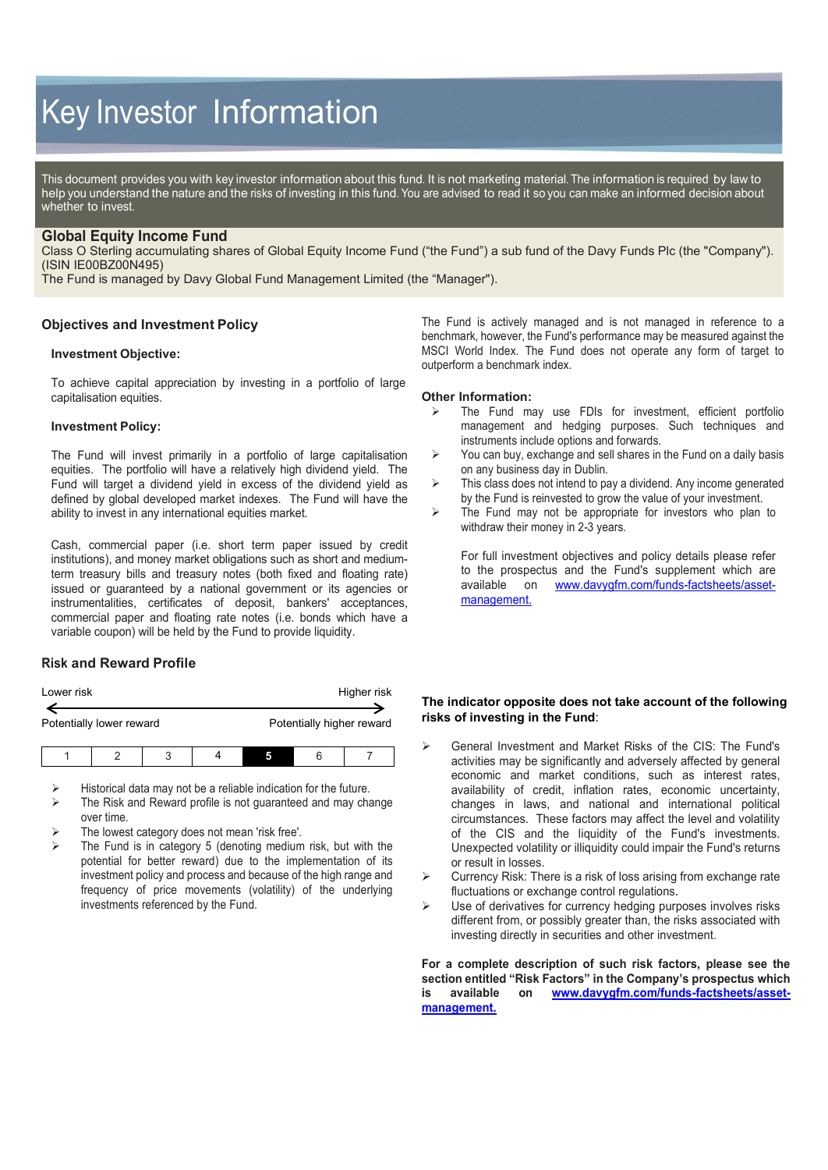# Key Investor Information

This document provides you with key investor information about this fund. It is not marketing material. The information is required by law to help you understand the nature and the risks of investing in this fund. You are advised to read it so you can make an informed decision about whether to invest.

# **Global Equity Income Fund**

Class O Sterling accumulating shares of Global Equity Income Fund ("the Fund") a sub fund of the Davy Funds Plc (the "Company"). (ISIN IE00BZ00N495)

The Fund is managed by Davy Global Fund Management Limited (the "Manager").

# **Objectives and Investment Policy**

## **Investment Objective:**

To achieve capital appreciation by investing in a portfolio of large capitalisation equities.

#### **Investment Policy:**

The Fund will invest primarily in a portfolio of large capitalisation equities. The portfolio will have a relatively high dividend yield. The Fund will target a dividend yield in excess of the dividend yield as defined by global developed market indexes. The Fund will have the ability to invest in any international equities market.

Cash, commercial paper (i.e. short term paper issued by credit institutions), and money market obligations such as short and mediumterm treasury bills and treasury notes (both fixed and floating rate) issued or guaranteed by a national government or its agencies or instrumentalities, certificates of deposit, bankers' acceptances, commercial paper and floating rate notes (i.e. bonds which have a variable coupon) will be held by the Fund to provide liquidity.

# **Risk and Reward Profile**

| Lower risk               |  |   |  |                           |   | Higher risk |
|--------------------------|--|---|--|---------------------------|---|-------------|
| Potentially lower reward |  |   |  | Potentially higher reward |   |             |
|                          |  | ↷ |  |                           | 6 |             |

Historical data may not be a reliable indication for the future.

- The Risk and Reward profile is not guaranteed and may change over time.
- The lowest category does not mean 'risk free'.
- The Fund is in category 5 (denoting medium risk, but with the potential for better reward) due to the implementation of its investment policy and process and because of the high range and frequency of price movements (volatility) of the underlying investments referenced by the Fund.

The Fund is actively managed and is not managed in reference to a benchmark, however, the Fund's performance may be measured against the MSCI World Index. The Fund does not operate any form of target to outperform a benchmark index.

#### **Other Information:**

- The Fund may use FDIs for investment, efficient portfolio management and hedging purposes. Such techniques and instruments include options and forwards.
- $\triangleright$  You can buy, exchange and sell shares in the Fund on a daily basis on any business day in Dublin.
- $\triangleright$  This class does not intend to pay a dividend. Any income generated by the Fund is reinvested to grow the value of your investment.
- $\triangleright$  The Fund may not be appropriate for investors who plan to withdraw their money in 2-3 years.

For full investment objectives and policy details please refer to the prospectus and the Fund's supplement which are available on www.davygfm.com/funds-factsheets/assetmanagement.

## **The indicator opposite does not take account of the following risks of investing in the Fund**:

- General Investment and Market Risks of the CIS: The Fund's activities may be significantly and adversely affected by general economic and market conditions, such as interest rates, availability of credit, inflation rates, economic uncertainty, changes in laws, and national and international political circumstances. These factors may affect the level and volatility of the CIS and the liquidity of the Fund's investments. Unexpected volatility or illiquidity could impair the Fund's returns or result in losses.
- $\triangleright$  Currency Risk: There is a risk of loss arising from exchange rate fluctuations or exchange control regulations.
- $\triangleright$  Use of derivatives for currency hedging purposes involves risks different from, or possibly greater than, the risks associated with investing directly in securities and other investment.

**For a complete description of such risk factors, please see the section entitled "Risk Factors" in the Company's prospectus which is available on www.davygfm.com/funds-factsheets/assetmanagement.**